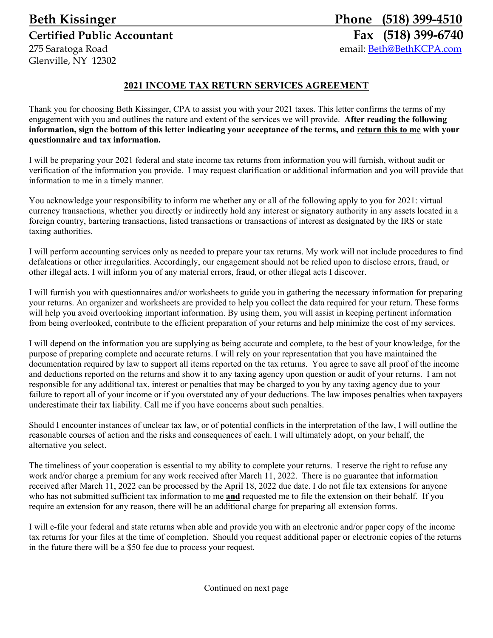# **Beth Kissinger Phone (518) 399-4510 Certified Public Accountant Fax (518) 399-6740** 275 Saratoga Road email: Beth@BethKCPA.com Glenville, NY 12302

# **2021 INCOME TAX RETURN SERVICES AGREEMENT**

Thank you for choosing Beth Kissinger, CPA to assist you with your 2021 taxes. This letter confirms the terms of my engagement with you and outlines the nature and extent of the services we will provide. **After reading the following information, sign the bottom of this letter indicating your acceptance of the terms, and return this to me with your questionnaire and tax information.** 

I will be preparing your 2021 federal and state income tax returns from information you will furnish, without audit or verification of the information you provide. I may request clarification or additional information and you will provide that information to me in a timely manner.

You acknowledge your responsibility to inform me whether any or all of the following apply to you for 2021: virtual currency transactions, whether you directly or indirectly hold any interest or signatory authority in any assets located in a foreign country, bartering transactions, listed transactions or transactions of interest as designated by the IRS or state taxing authorities.

I will perform accounting services only as needed to prepare your tax returns. My work will not include procedures to find defalcations or other irregularities. Accordingly, our engagement should not be relied upon to disclose errors, fraud, or other illegal acts. I will inform you of any material errors, fraud, or other illegal acts I discover.

I will furnish you with questionnaires and/or worksheets to guide you in gathering the necessary information for preparing your returns. An organizer and worksheets are provided to help you collect the data required for your return. These forms will help you avoid overlooking important information. By using them, you will assist in keeping pertinent information from being overlooked, contribute to the efficient preparation of your returns and help minimize the cost of my services.

I will depend on the information you are supplying as being accurate and complete, to the best of your knowledge, for the purpose of preparing complete and accurate returns. I will rely on your representation that you have maintained the documentation required by law to support all items reported on the tax returns. You agree to save all proof of the income and deductions reported on the returns and show it to any taxing agency upon question or audit of your returns. I am not responsible for any additional tax, interest or penalties that may be charged to you by any taxing agency due to your failure to report all of your income or if you overstated any of your deductions. The law imposes penalties when taxpayers underestimate their tax liability. Call me if you have concerns about such penalties.

Should I encounter instances of unclear tax law, or of potential conflicts in the interpretation of the law, I will outline the reasonable courses of action and the risks and consequences of each. I will ultimately adopt, on your behalf, the alternative you select.

The timeliness of your cooperation is essential to my ability to complete your returns. I reserve the right to refuse any work and/or charge a premium for any work received after March 11, 2022. There is no guarantee that information received after March 11, 2022 can be processed by the April 18, 2022 due date. I do not file tax extensions for anyone who has not submitted sufficient tax information to me **and** requested me to file the extension on their behalf. If you require an extension for any reason, there will be an additional charge for preparing all extension forms.

I will e-file your federal and state returns when able and provide you with an electronic and/or paper copy of the income tax returns for your files at the time of completion. Should you request additional paper or electronic copies of the returns in the future there will be a \$50 fee due to process your request.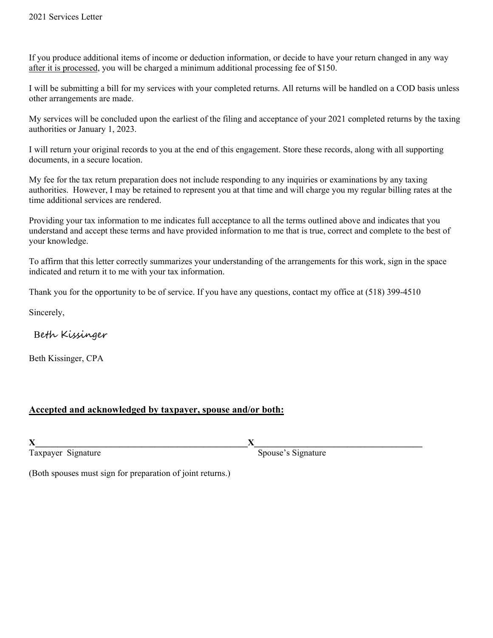If you produce additional items of income or deduction information, or decide to have your return changed in any way after it is processed, you will be charged a minimum additional processing fee of \$150.

I will be submitting a bill for my services with your completed returns. All returns will be handled on a COD basis unless other arrangements are made.

My services will be concluded upon the earliest of the filing and acceptance of your 2021 completed returns by the taxing authorities or January 1, 2023.

I will return your original records to you at the end of this engagement. Store these records, along with all supporting documents, in a secure location.

My fee for the tax return preparation does not include responding to any inquiries or examinations by any taxing authorities. However, I may be retained to represent you at that time and will charge you my regular billing rates at the time additional services are rendered.

Providing your tax information to me indicates full acceptance to all the terms outlined above and indicates that you understand and accept these terms and have provided information to me that is true, correct and complete to the best of your knowledge.

To affirm that this letter correctly summarizes your understanding of the arrangements for this work, sign in the space indicated and return it to me with your tax information.

Thank you for the opportunity to be of service. If you have any questions, contact my office at (518) 399-4510

Sincerely,

Beth Kissinger

Beth Kissinger, CPA

# **Accepted and acknowledged by taxpayer, spouse and/or both:**

**X\_\_\_\_\_\_\_\_\_\_\_\_\_\_\_\_\_\_\_\_\_\_\_\_\_\_\_\_\_\_\_\_\_\_\_\_\_\_\_\_\_\_\_\_\_\_\_\_X\_\_\_\_\_\_\_\_\_\_\_\_\_\_\_\_\_\_\_\_\_\_\_\_\_\_\_\_\_\_\_\_\_\_\_\_\_\_**

Taxpayer Signature Signature Spouse's Signature

(Both spouses must sign for preparation of joint returns.)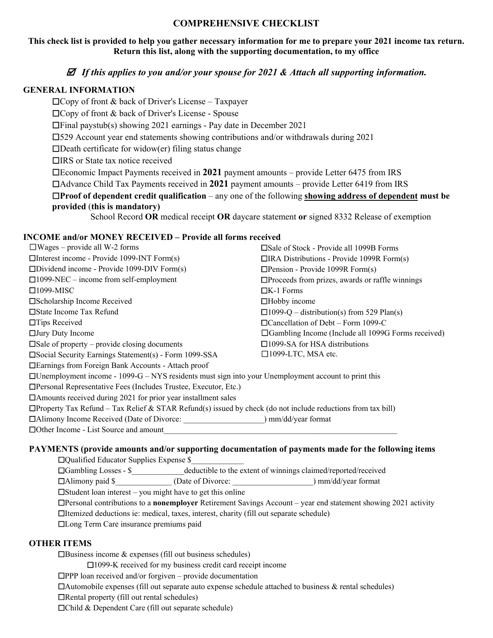## **COMPREHENSIVE CHECKLIST**

### **This check list is provided to help you gather necessary information for me to prepare your 2021 income tax return. Return this list, along with the supporting documentation, to my office**

#### *If this applies to you and/or your spouse for 2021 & Attach all supporting information.*

#### **GENERAL INFORMATION**

☐Copy of front & back of Driver's License – Taxpayer ☐Copy of front & back of Driver's License - Spouse ☐Final paystub(s) showing 2021 earnings - Pay date in December 2021 ☐529 Account year end statements showing contributions and/or withdrawals during 2021  $\square$ Death certificate for widow(er) filing status change ☐IRS or State tax notice received ☐Economic Impact Payments received in **2021** payment amounts – provide Letter 6475 from IRS ☐Advance Child Tax Payments received in **2021** payment amounts – provide Letter 6419 from IRS ☐**Proof of dependent credit qualification** – any one of the following **showing address of dependent must be provided** (**this is mandatory)** School Record **OR** medical receipt **OR** daycare statement **or** signed 8332 Release of exemption

## **INCOME and/or MONEY RECEIVED – Provide all forms received**

| $\Box$ Wages – provide all W-2 forms                                                                               | $\square$ Sale of Stock - Provide all 1099B Forms         |
|--------------------------------------------------------------------------------------------------------------------|-----------------------------------------------------------|
| $\Box$ Interest income - Provide 1099-INT Form(s)                                                                  | $\Box$ IRA Distributions - Provide 1099R Form(s)          |
| $\square$ Dividend income - Provide 1099-DIV Form $(s)$                                                            | $\Box$ Pension - Provide 1099R Form(s)                    |
| $\square$ 1099-NEC – income from self-employment                                                                   | $\Box$ Proceeds from prizes, awards or raffle winnings    |
| $\square$ 1099-MISC                                                                                                | $\Box K-1$ Forms                                          |
| □Scholarship Income Received                                                                                       | $\Box$ Hobby income                                       |
| □ State Income Tax Refund                                                                                          | $\Box$ 1099-Q – distribution(s) from 529 Plan(s)          |
| $\Box$ Tips Received                                                                                               | $\Box$ Cancellation of Debt – Form 1099-C                 |
| $\Box$ Jury Duty Income                                                                                            | $\Box$ Gambling Income (Include all 1099G Forms received) |
| $\square$ Sale of property – provide closing documents                                                             | $\square$ 1099-SA for HSA distributions                   |
| $\square$ Social Security Earnings Statement(s) - Form 1099-SSA                                                    | $\square$ 1099-LTC, MSA etc.                              |
| □ Earnings from Foreign Bank Accounts - Attach proof                                                               |                                                           |
| $\Box$ Unemployment income - 1099-G – NYS residents must sign into your Unemployment account to print this         |                                                           |
| □ Personal Representative Fees (Includes Trustee, Executor, Etc.)                                                  |                                                           |
| $\Box$ Amounts received during 2021 for prior year installment sales                                               |                                                           |
| $\Box$ Property Tax Refund – Tax Relief & STAR Refund(s) issued by check (do not include reductions from tax bill) |                                                           |
| □Alimony Income Received (Date of Divorce:                                                                         | mm/dd/year format                                         |
| $\Box$ Other Income - List Source and amount                                                                       |                                                           |

#### **PAYMENTS (provide amounts and/or supporting documentation of payments made for the following items**

| $\Box$ Qualified Educator Supplies Expense \$                                                                               |                   |                                                                |  |  |
|-----------------------------------------------------------------------------------------------------------------------------|-------------------|----------------------------------------------------------------|--|--|
| $\Box$ Gambling Losses - \$                                                                                                 |                   | deductible to the extent of winnings claimed/reported/received |  |  |
| $\Box$ Alimony paid \$                                                                                                      | (Date of Divorce: | mm/dd/year format                                              |  |  |
| $\Box$ Student loan interest – you might have to get this online                                                            |                   |                                                                |  |  |
| $\Box$ Personal contributions to a <b>nonemployer</b> Retirement Savings Account – year end statement showing 2021 activity |                   |                                                                |  |  |
| □Itemized deductions ie: medical, taxes, interest, charity (fill out separate schedule)                                     |                   |                                                                |  |  |
| <b>IDLong Term Care insurance premiums paid</b>                                                                             |                   |                                                                |  |  |
|                                                                                                                             |                   |                                                                |  |  |

#### **OTHER ITEMS**

 $\Box$ Business income & expenses (fill out business schedules)

☐1099-K received for my business credit card receipt income

☐PPP loan received and/or forgiven – provide documentation

 $\Box$ Automobile expenses (fill out separate auto expense schedule attached to business & rental schedules)

☐Rental property (fill out rental schedules)

☐Child & Dependent Care (fill out separate schedule)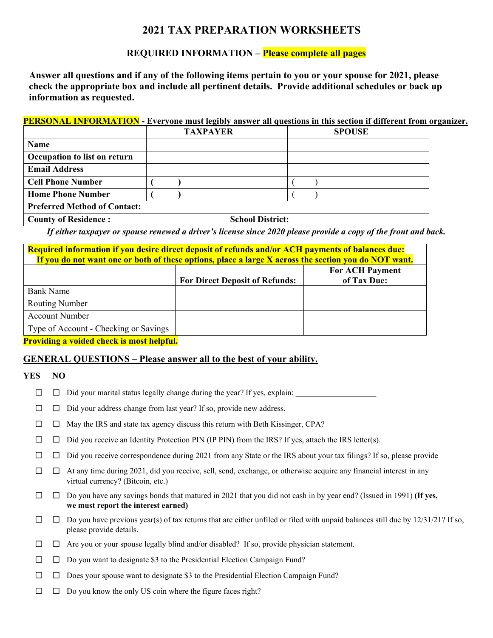# **2021 TAX PREPARATION WORKSHEETS**

# **REQUIRED INFORMATION – Please complete all pages**

**Answer all questions and if any of the following items pertain to you or your spouse for 2021, please check the appropriate box and include all pertinent details. Provide additional schedules or back up information as requested.** 

#### **PERSONAL INFORMATION - Everyone must legibly answer all questions in this section if different from organizer.**

|                                     | <b>TAXPAYER</b> | <b>SPOUSE</b> |
|-------------------------------------|-----------------|---------------|
| Name                                |                 |               |
| Occupation to list on return        |                 |               |
| <b>Email Address</b>                |                 |               |
| <b>Cell Phone Number</b>            |                 |               |
| <b>Home Phone Number</b>            |                 |               |
| <b>Preferred Method of Contact:</b> |                 |               |

County of Residence : School District:

*If either taxpayer or spouse renewed a driver's license since 2020 please provide a copy of the front and back.* 

| Required information if you desire direct deposit of refunds and/or ACH payments of balances due:<br>If you do not want one or both of these options, place a large X across the section you do NOT want. |                                       |                                       |  |
|-----------------------------------------------------------------------------------------------------------------------------------------------------------------------------------------------------------|---------------------------------------|---------------------------------------|--|
|                                                                                                                                                                                                           | <b>For Direct Deposit of Refunds:</b> | <b>For ACH Payment</b><br>of Tax Due: |  |
| <b>Bank Name</b>                                                                                                                                                                                          |                                       |                                       |  |
| <b>Routing Number</b>                                                                                                                                                                                     |                                       |                                       |  |
| <b>Account Number</b>                                                                                                                                                                                     |                                       |                                       |  |
| Type of Account - Checking or Savings                                                                                                                                                                     |                                       |                                       |  |
|                                                                                                                                                                                                           |                                       |                                       |  |

**Providing a voided check is most helpful.** 

# **GENERAL QUESTIONS – Please answer all to the best of your ability.**

#### **YES NO**

- ☐☐ Did your marital status legally change during the year? If yes, explain: \_\_\_\_\_\_\_\_\_\_\_\_\_\_\_\_\_\_\_\_
- ☐☐ Did your address change from last year? If so, provide new address.
- ☐☐ May the IRS and state tax agency discuss this return with Beth Kissinger, CPA?
- ☐☐ Did you receive an Identity Protection PIN (IP PIN) from the IRS? If yes, attach the IRS letter(s).
- ☐☐ Did you receive correspondence during 2021 from any State or the IRS about your tax filings? If so, please provide
- ☐☐ At any time during 2021, did you receive, sell, send, exchange, or otherwise acquire any financial interest in any virtual currency? (Bitcoin, etc.)
- ☐☐ Do you have any savings bonds that matured in 2021 that you did not cash in by year end? (Issued in 1991) **(If yes, we must report the interest earned)**
- ☐☐ Do you have previous year(s) of tax returns that are either unfiled or filed with unpaid balances still due by 12/31/21? If so, please provide details.
- ☐☐ Are you or your spouse legally blind and/or disabled? If so, provide physician statement.
- ☐☐ Do you want to designate \$3 to the Presidential Election Campaign Fund?
- ☐☐ Does your spouse want to designate \$3 to the Presidential Election Campaign Fund?
- ☐☐ Do you know the only US coin where the figure faces right?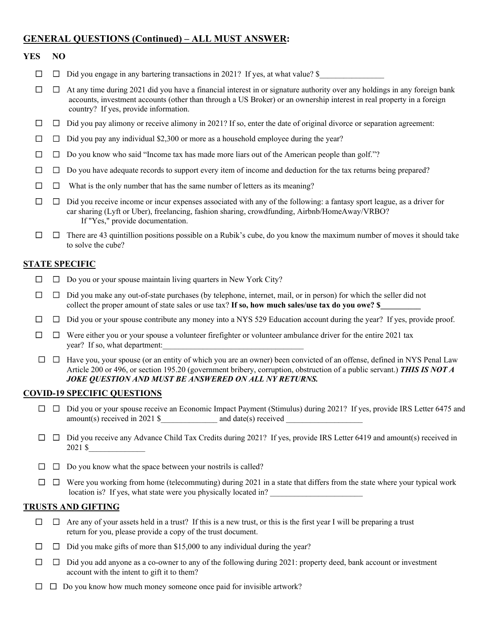# **GENERAL QUESTIONS (Continued) – ALL MUST ANSWER:**

#### **YES NO**

- ☐☐ Did you engage in any bartering transactions in 2021? If yes, at what value? \$\_\_\_\_\_\_\_\_\_\_\_\_\_\_\_\_
- ☐☐ At any time during 2021 did you have a financial interest in or signature authority over any holdings in any foreign bank accounts, investment accounts (other than through a US Broker) or an ownership interest in real property in a foreign country? If yes, provide information.
- ☐☐ Did you pay alimony or receive alimony in 2021? If so, enter the date of original divorce or separation agreement:
- ☐☐ Did you pay any individual \$2,300 or more as a household employee during the year?
- ☐☐ Do you know who said "Income tax has made more liars out of the American people than golf."?
- ☐☐ Do you have adequate records to support every item of income and deduction for the tax returns being prepared?
- ☐☐ What is the only number that has the same number of letters as its meaning?
- ☐☐ Did you receive income or incur expenses associated with any of the following: a fantasy sport league, as a driver for car sharing (Lyft or Uber), freelancing, fashion sharing, crowdfunding, Airbnb/HomeAway/VRBO? If "Yes," provide documentation.
- ☐☐ There are 43 quintillion positions possible on a Rubik's cube, do you know the maximum number of moves it should take to solve the cube?

#### **STATE SPECIFIC**

- ☐☐ Do you or your spouse maintain living quarters in New York City?
- ☐☐ Did you make any out-of-state purchases (by telephone, internet, mail, or in person) for which the seller did not collect the proper amount of state sales or use tax? If so, how much sales/use tax do you owe? \$
- ☐☐ Did you or your spouse contribute any money into a NYS 529 Education account during the year? If yes, provide proof.
- ☐☐ Were either you or your spouse a volunteer firefighter or volunteer ambulance driver for the entire 2021 tax year? If so, what department:
- ☐☐ Have you, your spouse (or an entity of which you are an owner) been convicted of an offense, defined in NYS Penal Law Article 200 or 496, or section 195.20 (government bribery, corruption, obstruction of a public servant.) *THIS IS NOT A JOKE QUESTION AND MUST BE ANSWERED ON ALL NY RETURNS.*

#### **COVID-19 SPECIFIC QUESTIONS**

- ☐☐ Did you or your spouse receive an Economic Impact Payment (Stimulus) during 2021? If yes, provide IRS Letter 6475 and amount(s) received in 2021 \$ $\qquad \qquad \text{and date(s) received}$
- ☐☐ Did you receive any Advance Child Tax Credits during 2021? If yes, provide IRS Letter 6419 and amount(s) received in 2021 \$\_\_\_\_\_\_\_\_\_\_\_\_\_\_
- ☐☐ Do you know what the space between your nostrils is called?
- ☐☐ Were you working from home (telecommuting) during 2021 in a state that differs from the state where your typical work location is? If yes, what state were you physically located in?

#### **TRUSTS AND GIFTING**

- ☐☐ Are any of your assets held in a trust? If this is a new trust, or this is the first year I will be preparing a trust return for you, please provide a copy of the trust document.
- ☐☐ Did you make gifts of more than \$15,000 to any individual during the year?
- ☐☐ Did you add anyone as a co-owner to any of the following during 2021: property deed, bank account or investment account with the intent to gift it to them?
- ☐☐ Do you know how much money someone once paid for invisible artwork?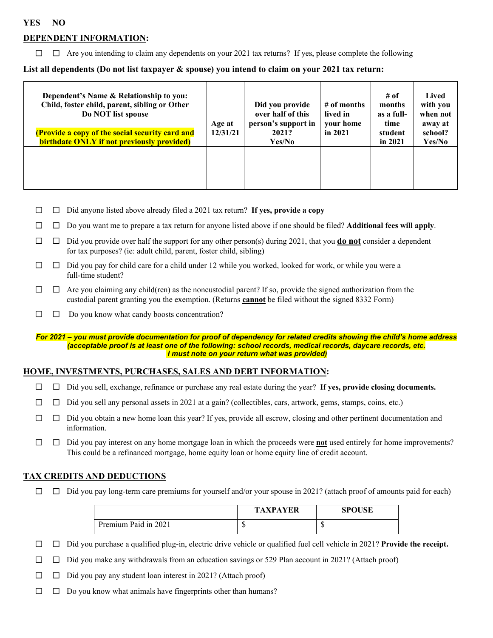#### **YES NO**

### **DEPENDENT INFORMATION:**

☐☐ Are you intending to claim any dependents on your 2021 tax returns? If yes, please complete the following

#### List all dependents (Do not list taxpayer & spouse) you intend to claim on your 2021 tax return:

| Dependent's Name & Relationship to you:<br>Child, foster child, parent, sibling or Other<br>Do NOT list spouse<br>(Provide a copy of the social security card and<br><b>birthdate ONLY if not previously provided)</b> | Age at<br>12/31/21 | Did you provide<br>over half of this<br>person's support in<br>2021?<br>Yes/No | $#$ of months<br>lived in<br>vour home<br>in $2021$ | # of<br>months<br>as a full-<br>time<br>student<br>in $2021$ | Lived<br>with you<br>when not<br>away at<br>school?<br>Yes/No |
|------------------------------------------------------------------------------------------------------------------------------------------------------------------------------------------------------------------------|--------------------|--------------------------------------------------------------------------------|-----------------------------------------------------|--------------------------------------------------------------|---------------------------------------------------------------|
|                                                                                                                                                                                                                        |                    |                                                                                |                                                     |                                                              |                                                               |
|                                                                                                                                                                                                                        |                    |                                                                                |                                                     |                                                              |                                                               |
|                                                                                                                                                                                                                        |                    |                                                                                |                                                     |                                                              |                                                               |

☐☐ Did anyone listed above already filed a 2021 tax return? **If yes, provide a copy** 

☐☐ Do you want me to prepare a tax return for anyone listed above if one should be filed? **Additional fees will apply**.

- ☐☐ Did you provide over half the support for any other person(s) during 2021, that you **do not** consider a dependent for tax purposes? (ie: adult child, parent, foster child, sibling)
- ☐☐ Did you pay for child care for a child under 12 while you worked, looked for work, or while you were a full-time student?
- ☐☐ Are you claiming any child(ren) as the noncustodial parent? If so, provide the signed authorization from the custodial parent granting you the exemption. (Returns **cannot** be filed without the signed 8332 Form)
- ☐☐ Do you know what candy boosts concentration?

#### *For 2021 – you must provide documentation for proof of dependency for related credits showing the child's home address (acceptable proof is at least one of the following: school records, medical records, daycare records, etc. I must note on your return what was provided)*

#### **HOME, INVESTMENTS, PURCHASES, SALES AND DEBT INFORMATION:**

- ☐☐ Did you sell, exchange, refinance or purchase any real estate during the year? **If yes, provide closing documents.**
- ☐☐ Did you sell any personal assets in 2021 at a gain? (collectibles, cars, artwork, gems, stamps, coins, etc.)
- ☐☐ Did you obtain a new home loan this year? If yes, provide all escrow, closing and other pertinent documentation and information.
- ☐☐ Did you pay interest on any home mortgage loan in which the proceeds were **not** used entirely for home improvements? This could be a refinanced mortgage, home equity loan or home equity line of credit account.

#### **TAX CREDITS AND DEDUCTIONS**

☐☐ Did you pay long-term care premiums for yourself and/or your spouse in 2021? (attach proof of amounts paid for each)

|                      | <b>TAXPAYER</b> | <b>SPOUSE</b> |
|----------------------|-----------------|---------------|
| Premium Paid in 2021 | 11              | w             |

- ☐☐ Did you purchase a qualified plug-in, electric drive vehicle or qualified fuel cell vehicle in 2021? **Provide the receipt.**
- ☐☐ Did you make any withdrawals from an education savings or 529 Plan account in 2021? (Attach proof)
- ☐☐ Did you pay any student loan interest in 2021? (Attach proof)
- ☐☐ Do you know what animals have fingerprints other than humans?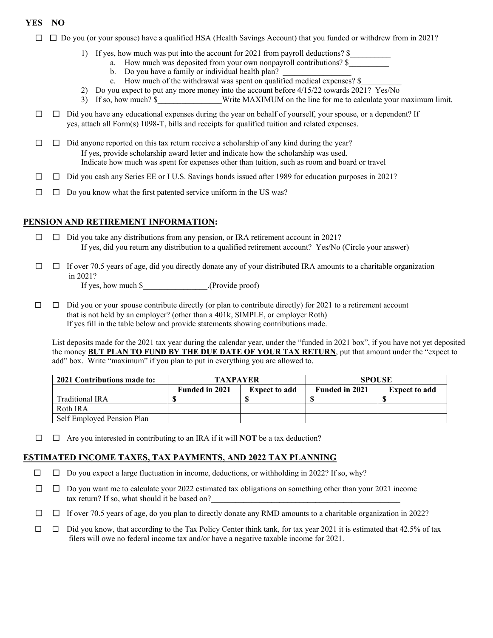## **YES NO**

- ☐☐ Do you (or your spouse) have a qualified HSA (Health Savings Account) that you funded or withdrew from in 2021?
	- 1) If yes, how much was put into the account for 2021 from payroll deductions? \$
		- a. How much was deposited from your own nonpayroll contributions? \$
			- b. Do you have a family or individual health plan?
		- c. How much of the withdrawal was spent on qualified medical expenses? \$
	- 2) Do you expect to put any more money into the account before 4/15/22 towards 2021? Yes/No
	- 3) If so, how much? \$ Write MAXIMUM on the line for me to calculate your maximum limit.
- ☐☐ Did you have any educational expenses during the year on behalf of yourself, your spouse, or a dependent? If yes, attach all Form(s) 1098-T, bills and receipts for qualified tuition and related expenses.
- ☐☐ Did anyone reported on this tax return receive a scholarship of any kind during the year? If yes, provide scholarship award letter and indicate how the scholarship was used. Indicate how much was spent for expenses other than tuition, such as room and board or travel
- ☐☐ Did you cash any Series EE or I U.S. Savings bonds issued after 1989 for education purposes in 2021?
- ☐☐ Do you know what the first patented service uniform in the US was?

## **PENSION AND RETIREMENT INFORMATION:**

- ☐☐ Did you take any distributions from any pension, or IRA retirement account in 2021? If yes, did you return any distribution to a qualified retirement account? Yes/No (Circle your answer)
- ☐☐ If over 70.5 years of age, did you directly donate any of your distributed IRA amounts to a charitable organization in 2021?

If yes, how much \$ (Provide proof)

☐☐ Did you or your spouse contribute directly (or plan to contribute directly) for 2021 to a retirement account that is not held by an employer? (other than a 401k, SIMPLE, or employer Roth) If yes fill in the table below and provide statements showing contributions made.

 List deposits made for the 2021 tax year during the calendar year, under the "funded in 2021 box", if you have not yet deposited the money **BUT PLAN TO FUND BY THE DUE DATE OF YOUR TAX RETURN**, put that amount under the "expect to add" box. Write "maximum" if you plan to put in everything you are allowed to.

| 2021 Contributions made to: | <b>TAXPAYER</b>       |                      | <b>SPOUSE</b>         |                      |
|-----------------------------|-----------------------|----------------------|-----------------------|----------------------|
|                             | <b>Funded in 2021</b> | <b>Expect to add</b> | <b>Funded in 2021</b> | <b>Expect to add</b> |
| Traditional IRA             |                       |                      |                       |                      |
| Roth IRA                    |                       |                      |                       |                      |
| Self Employed Pension Plan  |                       |                      |                       |                      |

☐☐ Are you interested in contributing to an IRA if it will **NOT** be a tax deduction?

#### **ESTIMATED INCOME TAXES, TAX PAYMENTS, AND 2022 TAX PLANNING**

- ☐☐ Do you expect a large fluctuation in income, deductions, or withholding in 2022? If so, why?
- ☐☐ Do you want me to calculate your 2022 estimated tax obligations on something other than your 2021 income tax return? If so, what should it be based on?
- ☐☐ If over 70.5 years of age, do you plan to directly donate any RMD amounts to a charitable organization in 2022?
- $\Box$   $\Box$  Did you know, that according to the Tax Policy Center think tank, for tax year 2021 it is estimated that 42.5% of tax filers will owe no federal income tax and/or have a negative taxable income for 2021.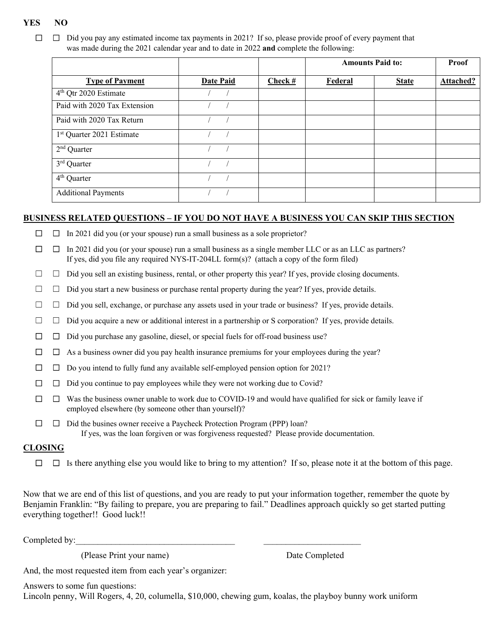#### **YES NO**

☐☐ Did you pay any estimated income tax payments in 2021? If so, please provide proof of every payment that was made during the 2021 calendar year and to date in 2022 **and** complete the following:

|                                       |                  |         | <b>Amounts Paid to:</b> |              | Proof     |
|---------------------------------------|------------------|---------|-------------------------|--------------|-----------|
| <b>Type of Payment</b>                | <b>Date Paid</b> | Check # | Federal                 | <b>State</b> | Attached? |
| 4 <sup>th</sup> Qtr 2020 Estimate     |                  |         |                         |              |           |
| Paid with 2020 Tax Extension          |                  |         |                         |              |           |
| Paid with 2020 Tax Return             |                  |         |                         |              |           |
| 1 <sup>st</sup> Quarter 2021 Estimate |                  |         |                         |              |           |
| $2nd$ Quarter                         |                  |         |                         |              |           |
| $3rd$ Quarter                         |                  |         |                         |              |           |
| $4th$ Quarter                         |                  |         |                         |              |           |
| <b>Additional Payments</b>            |                  |         |                         |              |           |

#### **BUSINESS RELATED QUESTIONS – IF YOU DO NOT HAVE A BUSINESS YOU CAN SKIP THIS SECTION**

☐☐ In 2021 did you (or your spouse) run a small business as a sole proprietor?

 ☐☐ In 2021 did you (or your spouse) run a small business as a single member LLC or as an LLC as partners? If yes, did you file any required NYS-IT-204LL form(s)? (attach a copy of the form filed)

☐ ☐ Did you sell an existing business, rental, or other property this year? If yes, provide closing documents.

☐ ☐ Did you start a new business or purchase rental property during the year? If yes, provide details.

☐ ☐ Did you sell, exchange, or purchase any assets used in your trade or business? If yes, provide details.

 $\Box$   $\Box$  Did you acquire a new or additional interest in a partnership or S corporation? If yes, provide details.

☐☐ Did you purchase any gasoline, diesel, or special fuels for off-road business use?

☐☐ As a business owner did you pay health insurance premiums for your employees during the year?

☐☐ Do you intend to fully fund any available self-employed pension option for 2021?

☐☐ Did you continue to pay employees while they were not working due to Covid?

☐☐ Was the business owner unable to work due to COVID-19 and would have qualified for sick or family leave if employed elsewhere (by someone other than yourself)?

☐☐ Did the busines owner receive a Paycheck Protection Program (PPP) loan? If yes, was the loan forgiven or was forgiveness requested? Please provide documentation.

#### **CLOSING**

☐☐ Is there anything else you would like to bring to my attention? If so, please note it at the bottom of this page.

Now that we are end of this list of questions, and you are ready to put your information together, remember the quote by Benjamin Franklin: "By failing to prepare, you are preparing to fail." Deadlines approach quickly so get started putting everything together!! Good luck!!

Completed by:

(Please Print your name) Date Completed

And, the most requested item from each year's organizer:

Answers to some fun questions:

Lincoln penny, Will Rogers, 4, 20, columella, \$10,000, chewing gum, koalas, the playboy bunny work uniform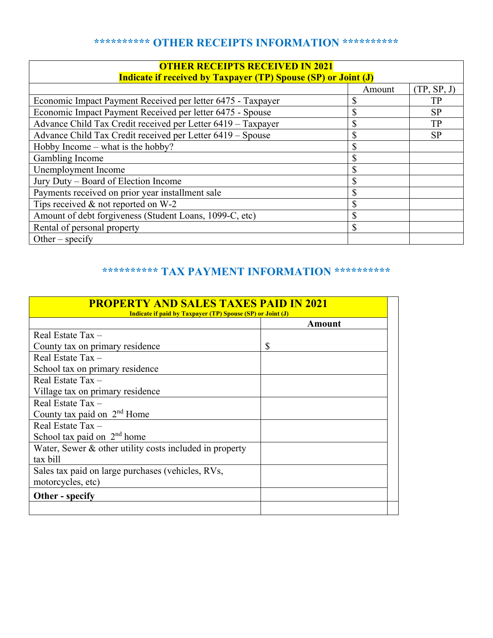# **\*\*\*\*\*\*\*\*\*\* OTHER RECEIPTS INFORMATION \*\*\*\*\*\*\*\*\*\***

| <b>OTHER RECEIPTS RECEIVED IN 2021</b><br><b>Indicate if received by Taxpayer (TP) Spouse (SP) or Joint (J)</b> |        |             |  |
|-----------------------------------------------------------------------------------------------------------------|--------|-------------|--|
|                                                                                                                 | Amount | (TP, SP, J) |  |
| Economic Impact Payment Received per letter 6475 - Taxpayer                                                     | ۰D     | TP          |  |
| Economic Impact Payment Received per letter 6475 - Spouse                                                       | \$     | <b>SP</b>   |  |
| Advance Child Tax Credit received per Letter 6419 - Taxpayer                                                    | \$     | TP          |  |
| Advance Child Tax Credit received per Letter 6419 - Spouse                                                      | \$     | <b>SP</b>   |  |
| Hobby Income – what is the hobby?                                                                               | Φ<br>D |             |  |
| Gambling Income                                                                                                 | \$     |             |  |
| Unemployment Income                                                                                             | \$     |             |  |
| Jury Duty – Board of Election Income                                                                            | \$     |             |  |
| Payments received on prior year installment sale                                                                | \$     |             |  |
| Tips received & not reported on W-2                                                                             | \$     |             |  |
| Amount of debt forgiveness (Student Loans, 1099-C, etc)                                                         | \$     |             |  |
| Rental of personal property                                                                                     | \$     |             |  |
| Other – specify                                                                                                 |        |             |  |

# **\*\*\*\*\*\*\*\*\*\* TAX PAYMENT INFORMATION \*\*\*\*\*\*\*\*\*\***

| <b>PROPERTY AND SALES TAXES PAID IN 2021</b><br><b>Indicate if paid by Taxpayer (TP) Spouse (SP) or Joint (J)</b> |        |  |
|-------------------------------------------------------------------------------------------------------------------|--------|--|
|                                                                                                                   | Amount |  |
| Real Estate Tax $-$                                                                                               |        |  |
| County tax on primary residence                                                                                   | S      |  |
| Real Estate Tax $-$                                                                                               |        |  |
| School tax on primary residence                                                                                   |        |  |
| Real Estate Tax $-$                                                                                               |        |  |
| Village tax on primary residence                                                                                  |        |  |
| Real Estate $Tax -$                                                                                               |        |  |
| County tax paid on 2 <sup>nd</sup> Home                                                                           |        |  |
| Real Estate $Tax -$                                                                                               |        |  |
| School tax paid on $2nd$ home                                                                                     |        |  |
| Water, Sewer & other utility costs included in property                                                           |        |  |
| tax bill                                                                                                          |        |  |
| Sales tax paid on large purchases (vehicles, RVs,                                                                 |        |  |
| motorcycles, etc)                                                                                                 |        |  |
| Other - specify                                                                                                   |        |  |
|                                                                                                                   |        |  |